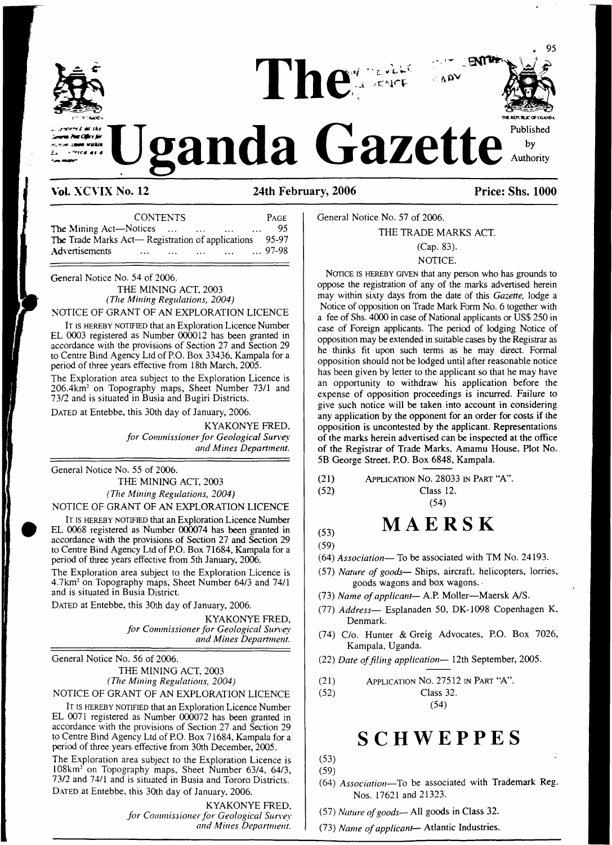

#### **VoL XCVIX No. 12 24th February, 2006 Price: Shs. 1000**

| <b>CONTENTS</b>                                                |                |  |  |  |  |
|----------------------------------------------------------------|----------------|--|--|--|--|
| <b>The Mining Act—Notices</b><br>$\cdots$                      | 95             |  |  |  |  |
| <b>The Trade Marks Act— Registration of applications</b> 95-97 |                |  |  |  |  |
| Advertisements<br>$\sim$ $\sim$ $\sim$ $\sim$                  | $\ldots$ 97-98 |  |  |  |  |

General Notice No. 54 of 2006.

THE MINING ACT, 2003 *(The Mining Regulations, 2004)* NOTICE OF GRANT OF AN EXPLORATION LICENCE

IT IS HEREBY NOTIFIED that an Exploration Licence Number EL 0003 registered as Number 000012 has been granted in accordance with the provisions of Section 27 and Section 29 to Centre Bind Agency Ltd of P.O. Box 33436, Kampala for a period of three years effective from 18th March, 2005.

The Exploration area subject to the Exploration Licence is 206.4km: on Topography maps, Sheet Number 73/1 and 73/2 and is situated in Busia and Bugiri Districts.

DATED at Entebbe, this 30th day of January, 2006.

KYAKONYE FRED, *for Commissionerfor Geological Survey and Mines Department.*

General Notice No. 55 of 2006.

THE MINING ACT, 2003 *(The Mining Regulations, 2004)*

#### NOTICE OF GRANT OF AN EXPLORATION LICENCE

It is hereby notified that an Exploration Licence Number EL 0068 registered as Number 000074 has been granted in accordance with the provisions of Section 27 and Section 29 to Centre Bind Agency Ltd of P.O. Box 71684, Kampala for a period of three years effective from 5th January, 2006.

The Exploration area subject to the Exploration Licence is 4.7km: on Topography maps, Sheet Number 64/3 and 74/1 and is situated in Busia District.

DATED at Entebbe, this 30th day of January, 2006.

KYAKONYE FRED, *for Commissionerfor Geological Survey and Mines Department.*

General Notice No. 56 of 2006. THE MINING ACT, 2003 *(The Mining Regulations, 2004)*

NOTICE OF GRANT OF AN EXPLORATION LICENCE

IT IS HEREBY NOTIFIED that an Exploration Licence Number EL 0071 registered as Number 000072 has been granted in accordance with the provisions of Section 27 and Section 29 to Centre Bind Agency Ltd of P.O. Box 71684, Kampala for a period of three years effective from 30th December, 2005.

The Exploration area subject to the Exploration Licence is 108km: on Topography maps, Sheet Number 63/4, 64/3, 73/2 and 74/1 and is situated in Busia and Tororo Districts. DATED at Entebbe, this 30th day of January, 2006.

> KYAKONYE FRED. *for Commissionerfor Geological Survey and Mines Department.*

General Notice No. 57 of 2006.

THE TRADE MARKS ACT.

#### (Cap. 83). NOTICE.

NOTICE IS HEREBY GIVEN that any person who has grounds to oppose the registration of any of the marks advertised herein may within sixty days from the date of this *Gazette,* lodge a Notice of opposition on Trade Mark Form No. 6 together with a fee of Shs. 4000 in case of National applicants or US\$ 250 in case of Foreign applicants. The period of lodging Notice of opposition may be extended in suitable cases by the Registrar as he thinks fit upon such terms as he may direct. Formal opposition should not be lodged until after reasonable notice has been given by letter to the applicant so that he may have an opportunity to withdraw his application before the expense of opposition proceedings is incurred. Failure to give such notice will be taken into account in considering any application by the opponent for an order for costs if the opposition is uncontested by the applicant. Representations of the marks herein advertised can be inspected at the office of the Registrar of Trade Marks. Amamu House, Plot No. 5B George Street. P.O. Box 6848, Kampala.

- (21) Application No. 28033 in Part "A".
- (52) Class 12.

# **(53) MAERSK**

(54)

- (59)
- (64) *Association—* To be associated with TM No. 24193.
- (57) *Nature of goods—* Ships, aircraft, helicopters, lorries, goods wagons and box wagons.
- (73) *Name ofapplicant—* A.P. Moller—Maersk A/S.
- (77) *Address—* Esplanaden 50, DK-1098 Copenhagen K, Denmark.
- (74) C/o. Hunter & Greig Advocates, P.O. Box 7026, Kampala, Uganda.
- (22) *Date offiling application—* 12th September, 2005.
- (21) Application No. 27512 in Part "A".
- (52) Class 32.

(54)

# **SCHWEPPES**

- (53) (59)
- (64) *Association—*To be associated with Trademark Reg. Nos. 17621 and 21323.
- (57) *Nature ofgoods—* All goods in Class 32.
- (73) *Name ofapplicant—* Atlantic Industries.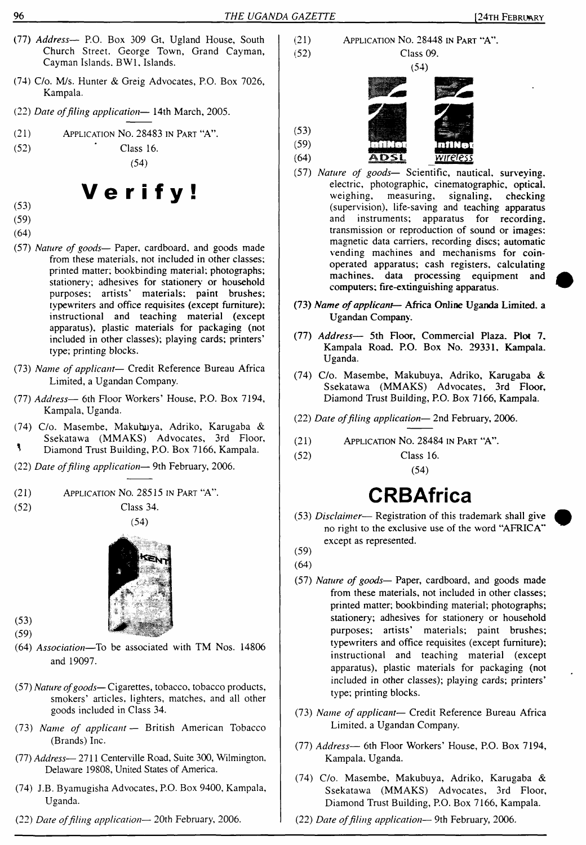- (77) *Address—* P.O. Box 309 Gt, Ugland House, South Church Street. George Town, Grand Cayman, Cayman Islands. BW1, Islands.
- (74) C/o. M/s. Hunter & Greig Advocates, P.O. Box 7026, Kampala.
- (22) *Date offiling application—* 14th March, 2005.
- (21) Application No. 28483 in Part "A".

$$
(52) \t\text{Class 16.} \t(54)
$$

Verify!

- (53)
- (59)
- (64)
- (57) *Nature of goods—* Paper, cardboard, and goods made from these materials, not included in other classes; printed matter; bookbinding material; photographs; stationery; adhesives for stationery or household purposes; artists' materials; paint brushes; typewriters and office requisites (except furniture); instructional and teaching material (except apparatus), plastic materials for packaging (not included in other classes); playing cards; printers' type; printing blocks.
- (73) *Name of applicant—* Credit Reference Bureau Africa Limited, a Ugandan Company.
- (77) *Address—* 6th Floor Workers' House, P.O. Box 7194, Kampala, Uganda.
- (74) C/o. Masembe, Makubuya, Adriko, Karugaba & Ssekatawa (MMAKS) Advocates, 3rd Floor,  $\mathbf{R}$ Diamond Trust Building, P.O. Box 7166, Kampala.
- 
- (22) *Date offiling application—* 9th February, 2006.



(52) Class 34.





 $(53)$  $(59)$ 

- (64) *Association—*To be associated with TM Nos. 14806 and 19097.
- (57) *Nature ofgoods—*Cigarettes, tobacco, tobacco products, smokers' articles, lighters, matches, and all other goods included in Class 34.
- (73) *Name of applicant—* British American Tobacco (Brands) Inc.
- (77) *Address* 2711 Centerville Road, Suite 300, Wilmington, Delaware 19808, United States of America.
- (74) J.B. Byamugisha Advocates, P.O. Box 9400, Kampala, Uganda.
- (22) *Date offiling application—* 20th February, 2006.
- (21) Application No. 28448 in Part "A". (52) Class 09. (54)
- $(53)$  $(59)$  $(64)$ ADSI. wireless
- (57) *Nature of goods—* Scientific, nautical, surveying, electric, photographic, cinematographic, optical, weighing, measuring, signaling, checking (supervision), life-saving and teaching apparatus and instruments; apparatus for recording, transmission or reproduction of sound or images; magnetic data carriers, recording discs; automatic vending machines and mechanisms for coinoperated apparatus; cash registers, calculating machines, data processing equipment and computers; fire-extinguishing apparatus.
- (73) *Name ofapplicant* Africa Online Uganda Limited, a Ugandan Company.
- (77) *Address—* 5th Floor, Commercial Plaza. Plot 7. Kampala Road. P.O. Box No. 29331, Kampala. Uganda.
- (74) C/o. Masembe, Makubuya, Adriko, Karugaba & Ssekatawa (MMAKS) Advocates, 3rd Floor, Diamond Trust Building, P.O. Box 7166, Kampala.
- (22) *Date offiling application—* 2nd February, 2006.
- (21) Application No. 28484 in Part "A".
- (52) Class 16.

(54)

# **CRBAfrica**

- (53) *Disclaimer* Registration of this trademark shall give no right to the exclusive use of the word "AFRICA" except as represented.
- (59)
- (64)
- (57) *Nature of goods—* Paper, cardboard, and goods made from these materials, not included in other classes; printed matter; bookbinding material; photographs; stationery; adhesives for stationery or household purposes; artists' materials; paint brushes; typewriters and office requisites (except furniture); instructional and teaching material (except apparatus), plastic materials for packaging (not included in other classes); playing cards; printers' type; printing blocks.
- (73) *Name of applicant—* Credit Reference Bureau Africa Limited, a Ugandan Company.
- (77) *Address—* 6th Floor Workers' House, P.O. Box 7194, Kampala. Uganda.
- (74) C/o. Masembe, Makubuya, Adriko, Karugaba & Ssekatawa (MMAKS) Advocates, 3rd Floor, Diamond Trust Building, P.O. Box 7166, Kampala.
- (22) *Date offiling application—* 9th February, 2006.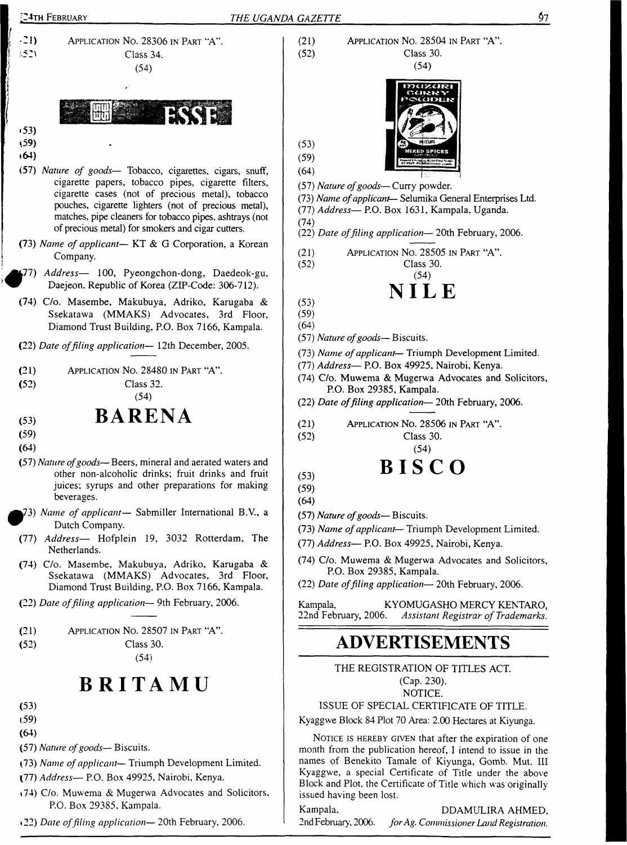

- cigarette papers, tobacco pipes, cigarette filters, cigarette cases (not of precious metal), tobacco pouches, cigarette lighters (not of precious metal), matches, pipe cleaners for tobacco pipes, ashtrays (not of precious metal) for smokers and cigar cutters.
- (73) *Name of applicant—* KT & G Corporation, a Korean Company.
- <sup>f</sup>77) *Address—* 100, Pyeongchon-dong, Daedeok-gu, Daejeon. Republic of Korea (ZIP-Code: 306-712).
- (74) C/o. Masembe, Makubuya, Adriko, Karugaba & Ssekatawa (MMAKS) Advocates, 3rd Floor, Diamond Trust Building, P.O. Box 7166, Kampala.
- (22) *Date offiling application—* 12th December, 2005.

| (21) | APPLICATION NO. 28480 IN PART "A". |
|------|------------------------------------|
| (52) | Class 32.                          |

#### (54)

## **BARENA**

- (53) (59)
- (64)
- (57) *Nature ofgoods—* Beers, mineral and aerated waters and other non-alcoholic drinks; fruit drinks and fruit juices; syrups and other preparations for making beverages.
- ^73) *Name of applicant—* Sabmiller International B.V., a Dutch Company.
- *Address—* Hofplein 19, 3032 Rotterdam, The (77) Netherlands.
- (74) C/o. Masembe, Makubuya, Adriko, Karugaba & Ssekatawa (MMAKS) Advocates, 3rd Floor, Diamond Trust Building, P.O. Box 7166, Kampala.
- (22) *Date offiling application—* 9th February, 2006.

| (21) | APPLICATION No. 28507 IN PART "A". |  |  |
|------|------------------------------------|--|--|
|      |                                    |  |  |

(52) Class 30.

(54)

# **BRITAMU**

- (53) (59)
- **(64)**
- 
- (57) *Nature ofgoods—* Biscuits.
- (73) *Name of applicant* Triumph Development Limited.
- (77) *Address—* P.O. Box 49925, Nairobi, Kenya.
- «74) C/o. Muwema & Mugerwa Advocates and Solicitors, P.O. Box 29385, Kampala.
- 22) *Date offiling application—* 20th February, 2006.

(21) Application No. 28504 in Part "A". (52) Class 30.



(59) (64)

(53)

(57) *Nature ofgoods—* Curry powder.

(73) *Name ofapplicant—* Selumika General Enterprises Ltd. (77) *Address—* P.O. Box 1631, Kampala, Uganda.

- (74)
- (22) *Date offiling application—* 20th February, 2006.

(21) Application No. 28505 in Part "A". (52) Class 30. (54) 

 $(53)$ (59)

- (64)
- (57) *Nature ofgoods—* Biscuits.
- (73) *Name ofapplicant—* Triumph Development Limited.
- (77) *Address—* P.O. Box 49925, Nairobi, Kenya.
- (74) C/o. Muwema & Mugerwa Advocates and Solicitors, P.O. Box 29385, Kampala.
- (22) *Date offiling application—* 20th February, 2006.
- (21) Application No. 28506 in Part "A' (52) Class 30. (54)

# (53) **BISCO**

- (59)
- (64)
- (57) *Nature ofgoods—* Biscuits.
- (73) *Name ofapplicant* Triumph Development Limited.
- (77) *Address—* P.O. Box 49925, Nairobi, Kenya.
- (74) C/o. Muwema & Mugerwa Advocates and Solicitors, P.O. Box 29385, Kampala.
- (22) *Date offiling application—* 20th February, 2006.

Kampala, KYOMUGASHO MERCY KENTARO, 22nd February, 2006. *Assistant Registrar of Trademarks.*

## **ADVERTISEMENTS**

THE REGISTRATION OF TITLES ACT. (Cap. 230).

NOTICE.

#### ISSUE OF SPECIAL CERTIFICATE OF TITLE.

Kyaggwe Block 84 Plot 70 Area: 2.00 Hectares at Kiyunga.

NOTICE IS HEREBY GIVEN that after the expiration of one month from the publication hereof, I intend to issue in the names of Benekito Tamale of Kiyunga, Gomb. Mut. Ill Kyaggwe, a special Certificate of Title under the above Block and Plot, the Certificate of Title which was originally issued having been lost.

Kampala. DDAMULIRA AHMED, 2nd February, 2006. *forAg. CommissionerLand Registration.*